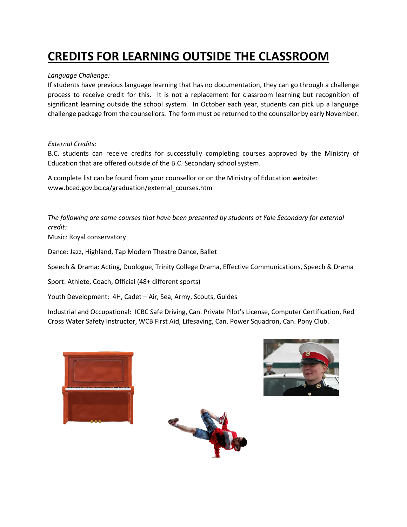# **CREDITS FOR LEARNING OUTSIDE THE CLASSROOM**

### *Language Challenge:*

If students have previous language learning that has no documentation, they can go through a challenge process to receive credit for this. It is not a replacement for classroom learning but recognition of significant learning outside the school system. In October each year, students can pick up a language challenge package from the counsellors. The form must be returned to the counsellor by early November.

#### *External Credits:*

B.C. students can receive credits for successfully completing courses approved by the Ministry of Education that are offered outside of the B.C. Secondary school system.

A complete list can be found from your counsellor or on the Ministry of Education website: www.bced.gov.bc.ca/graduation/external\_courses.htm

*The following are some courses that have been presented by students at Yale Secondary for external credit:* Music: Royal conservatory

Dance: Jazz, Highland, Tap Modern Theatre Dance, Ballet

Speech & Drama: Acting, Duologue, Trinity College Drama, Effective Communications, Speech & Drama

Sport: Athlete, Coach, Official (48+ different sports)

Youth Development: 4H, Cadet – Air, Sea, Army, Scouts, Guides

Industrial and Occupational: ICBC Safe Driving, Can. Private Pilot's License, Computer Certification, Red Cross Water Safety Instructor, WCB First Aid, Lifesaving, Can. Power Squadron, Can. Pony Club.